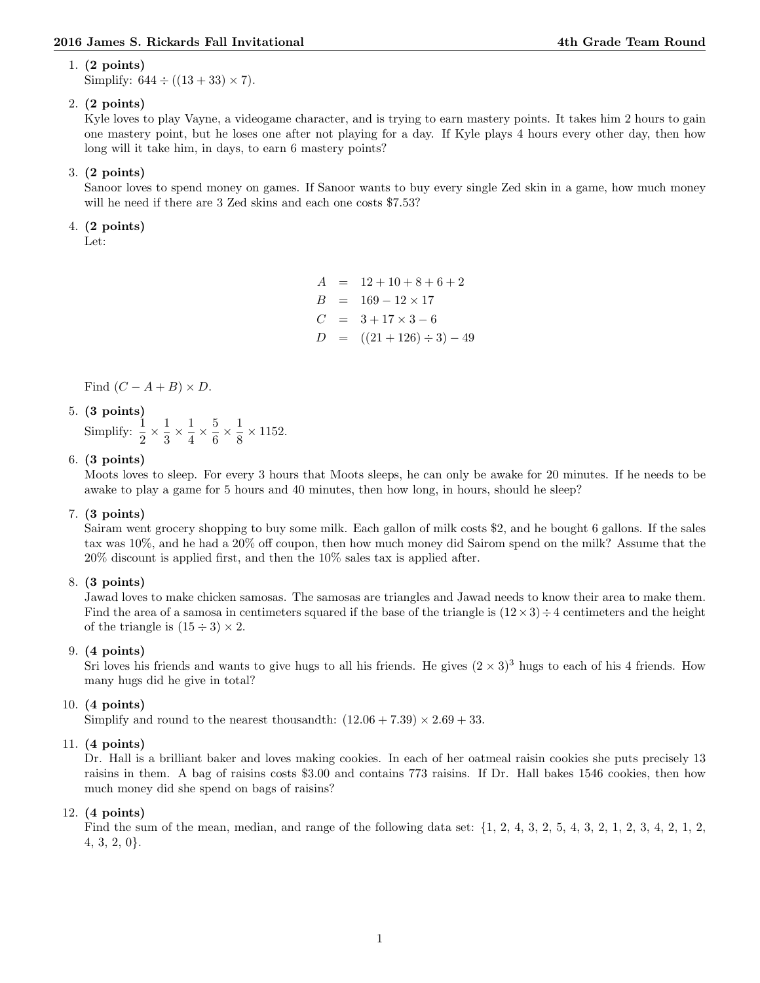#### 1. (2 points)

Simplify:  $644 \div ((13 + 33) \times 7)$ .

# 2. (2 points)

Kyle loves to play Vayne, a videogame character, and is trying to earn mastery points. It takes him 2 hours to gain one mastery point, but he loses one after not playing for a day. If Kyle plays 4 hours every other day, then how long will it take him, in days, to earn 6 mastery points?

# 3. (2 points)

Sanoor loves to spend money on games. If Sanoor wants to buy every single Zed skin in a game, how much money will he need if there are 3 Zed skins and each one costs \$7.53?

## 4. (2 points)

Let:

 $A = 12 + 10 + 8 + 6 + 2$  $B = 169 - 12 \times 17$  $C = 3 + 17 \times 3 - 6$  $D = ((21 + 126) \div 3) - 49$ 

Find  $(C - A + B) \times D$ .

# 5. (3 points)

Simplify:  $\frac{1}{2} \times \frac{1}{3}$  $\frac{1}{3} \times \frac{1}{4}$  $\frac{1}{4} \times \frac{5}{6}$  $\frac{5}{6} \times \frac{1}{8}$  $\frac{1}{8} \times 1152.$ 

## 6. (3 points)

Moots loves to sleep. For every 3 hours that Moots sleeps, he can only be awake for 20 minutes. If he needs to be awake to play a game for 5 hours and 40 minutes, then how long, in hours, should he sleep?

## 7. (3 points)

Sairam went grocery shopping to buy some milk. Each gallon of milk costs \$2, and he bought 6 gallons. If the sales tax was 10%, and he had a 20% off coupon, then how much money did Sairom spend on the milk? Assume that the 20% discount is applied first, and then the 10% sales tax is applied after.

## 8. (3 points)

Jawad loves to make chicken samosas. The samosas are triangles and Jawad needs to know their area to make them. Find the area of a samosa in centimeters squared if the base of the triangle is  $(12 \times 3) \div 4$  centimeters and the height of the triangle is  $(15 \div 3) \times 2$ .

## 9. (4 points)

Sri loves his friends and wants to give hugs to all his friends. He gives  $(2 \times 3)^3$  hugs to each of his 4 friends. How many hugs did he give in total?

## 10. (4 points)

Simplify and round to the nearest thousandth:  $(12.06 + 7.39) \times 2.69 + 33$ .

## 11. (4 points)

Dr. Hall is a brilliant baker and loves making cookies. In each of her oatmeal raisin cookies she puts precisely 13 raisins in them. A bag of raisins costs \$3.00 and contains 773 raisins. If Dr. Hall bakes 1546 cookies, then how much money did she spend on bags of raisins?

## 12. (4 points)

Find the sum of the mean, median, and range of the following data set: {1, 2, 4, 3, 2, 5, 4, 3, 2, 1, 2, 3, 4, 2, 1, 2, 4, 3, 2, 0}.